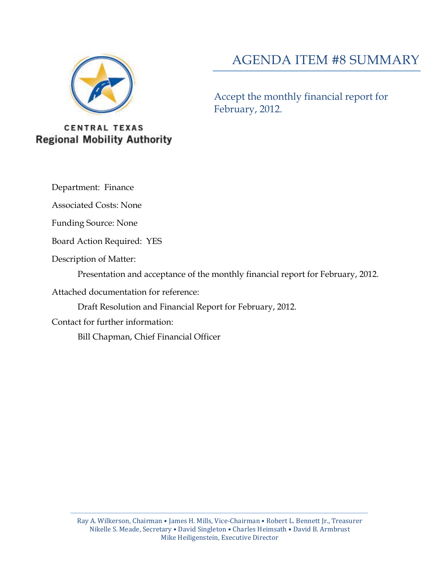

## AGENDA ITEM #8 SUMMARY

Accept the monthly financial report for February, 2012.

**CENTRAL TEXAS Regional Mobility Authority** 

Department: Finance

Associated Costs: None

Funding Source: None

Board Action Required: YES

Description of Matter:

Presentation and acceptance of the monthly financial report for February, 2012.

Attached documentation for reference:

Draft Resolution and Financial Report for February, 2012.

Contact for further information:

Bill Chapman, Chief Financial Officer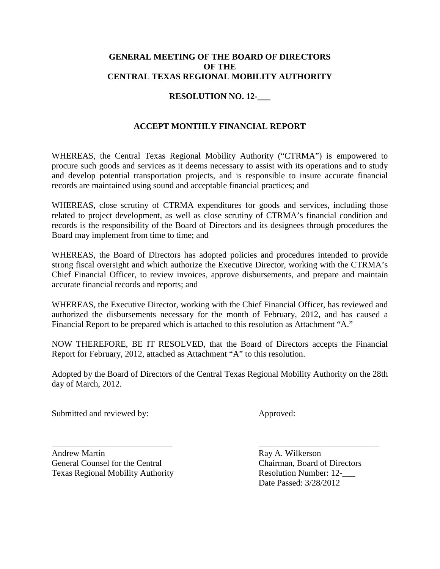#### **GENERAL MEETING OF THE BOARD OF DIRECTORS OF THE CENTRAL TEXAS REGIONAL MOBILITY AUTHORITY**

#### **RESOLUTION NO. 12-\_\_\_**

### **ACCEPT MONTHLY FINANCIAL REPORT**

WHEREAS, the Central Texas Regional Mobility Authority ("CTRMA") is empowered to procure such goods and services as it deems necessary to assist with its operations and to study and develop potential transportation projects, and is responsible to insure accurate financial records are maintained using sound and acceptable financial practices; and

WHEREAS, close scrutiny of CTRMA expenditures for goods and services, including those related to project development, as well as close scrutiny of CTRMA's financial condition and records is the responsibility of the Board of Directors and its designees through procedures the Board may implement from time to time; and

WHEREAS, the Board of Directors has adopted policies and procedures intended to provide strong fiscal oversight and which authorize the Executive Director, working with the CTRMA's Chief Financial Officer, to review invoices, approve disbursements, and prepare and maintain accurate financial records and reports; and

WHEREAS, the Executive Director, working with the Chief Financial Officer, has reviewed and authorized the disbursements necessary for the month of February, 2012, and has caused a Financial Report to be prepared which is attached to this resolution as Attachment "A."

NOW THEREFORE, BE IT RESOLVED, that the Board of Directors accepts the Financial Report for February, 2012, attached as Attachment "A" to this resolution.

Adopted by the Board of Directors of the Central Texas Regional Mobility Authority on the 28th day of March, 2012.

Submitted and reviewed by: Approved:

Andrew Martin Ray A. Wilkerson General Counsel for the Central Chairman, Board of Directors Texas Regional Mobility Authority **Resolution Number: 12-**

\_\_\_\_\_\_\_\_\_\_\_\_\_\_\_\_\_\_\_\_\_\_\_\_\_\_\_\_ \_\_\_\_\_\_\_\_\_\_\_\_\_\_\_\_\_\_\_\_\_\_\_\_\_\_\_\_ Date Passed: 3/28/2012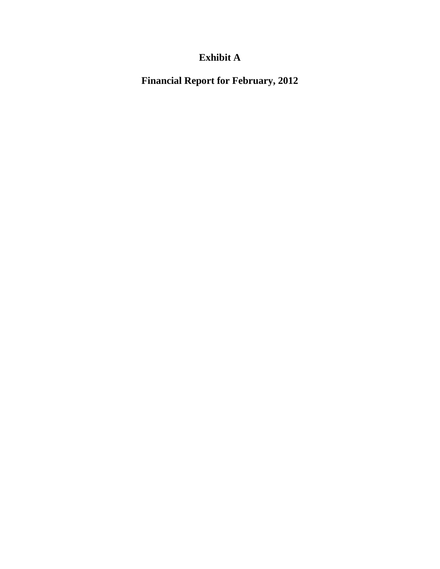## **Exhibit A**

**Financial Report for February, 2012**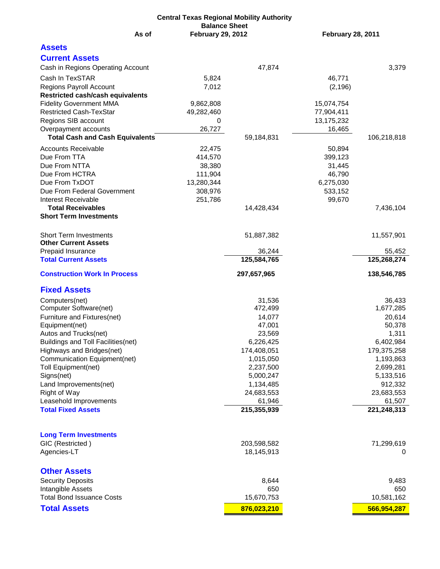| <b>Central Texas Regional Mobility Authority</b>                          |                          |                           |                          |             |  |  |  |  |  |  |
|---------------------------------------------------------------------------|--------------------------|---------------------------|--------------------------|-------------|--|--|--|--|--|--|
|                                                                           | <b>Balance Sheet</b>     |                           |                          |             |  |  |  |  |  |  |
| As of                                                                     | <b>February 29, 2012</b> |                           | <b>February 28, 2011</b> |             |  |  |  |  |  |  |
| <b>Assets</b>                                                             |                          |                           |                          |             |  |  |  |  |  |  |
| <b>Current Assets</b>                                                     |                          |                           |                          |             |  |  |  |  |  |  |
| Cash in Regions Operating Account                                         |                          | 47,874                    |                          | 3,379       |  |  |  |  |  |  |
|                                                                           |                          |                           |                          |             |  |  |  |  |  |  |
| Cash In TexSTAR                                                           | 5,824                    |                           | 46,771                   |             |  |  |  |  |  |  |
| <b>Regions Payroll Account</b>                                            | 7,012                    |                           | (2, 196)                 |             |  |  |  |  |  |  |
| <b>Restricted cash/cash equivalents</b><br><b>Fidelity Government MMA</b> | 9,862,808                |                           | 15,074,754               |             |  |  |  |  |  |  |
| <b>Restricted Cash-TexStar</b>                                            | 49,282,460               |                           | 77,904,411               |             |  |  |  |  |  |  |
| Regions SIB account                                                       | 0                        |                           | 13,175,232               |             |  |  |  |  |  |  |
| Overpayment accounts                                                      | 26,727                   |                           | 16,465                   |             |  |  |  |  |  |  |
| <b>Total Cash and Cash Equivalents</b>                                    |                          | 59,184,831                |                          | 106,218,818 |  |  |  |  |  |  |
| <b>Accounts Receivable</b>                                                |                          |                           |                          |             |  |  |  |  |  |  |
| Due From TTA                                                              | 22,475<br>414,570        |                           | 50,894<br>399,123        |             |  |  |  |  |  |  |
| Due From NTTA                                                             | 38,380                   |                           | 31,445                   |             |  |  |  |  |  |  |
| Due From HCTRA                                                            | 111,904                  |                           | 46,790                   |             |  |  |  |  |  |  |
| Due From TxDOT                                                            | 13,280,344               |                           | 6,275,030                |             |  |  |  |  |  |  |
| Due From Federal Government                                               | 308,976                  |                           | 533,152                  |             |  |  |  |  |  |  |
| <b>Interest Receivable</b>                                                | 251,786                  |                           | 99,670                   |             |  |  |  |  |  |  |
| <b>Total Receivables</b>                                                  |                          | 14,428,434                |                          | 7,436,104   |  |  |  |  |  |  |
| <b>Short Term Investments</b>                                             |                          |                           |                          |             |  |  |  |  |  |  |
|                                                                           |                          |                           |                          |             |  |  |  |  |  |  |
| <b>Short Term Investments</b>                                             |                          | 51,887,382                |                          | 11,557,901  |  |  |  |  |  |  |
| <b>Other Current Assets</b>                                               |                          |                           |                          |             |  |  |  |  |  |  |
| Prepaid Insurance                                                         |                          | 36,244                    |                          | 55,452      |  |  |  |  |  |  |
| <b>Total Current Assets</b>                                               |                          | 125,584,765               |                          | 125,268,274 |  |  |  |  |  |  |
| <b>Construction Work In Process</b>                                       |                          | 297,657,965               |                          | 138,546,785 |  |  |  |  |  |  |
| <b>Fixed Assets</b>                                                       |                          |                           |                          |             |  |  |  |  |  |  |
| Computers(net)                                                            |                          | 31,536                    |                          | 36,433      |  |  |  |  |  |  |
| Computer Software(net)                                                    |                          | 472,499                   |                          | 1,677,285   |  |  |  |  |  |  |
| Furniture and Fixtures(net)                                               |                          | 14,077                    |                          | 20,614      |  |  |  |  |  |  |
| Equipment(net)                                                            |                          | 47,001                    |                          | 50,378      |  |  |  |  |  |  |
| Autos and Trucks(net)                                                     |                          | 23,569                    |                          | 1,311       |  |  |  |  |  |  |
| <b>Buildings and Toll Facilities(net)</b>                                 |                          | 6,226,425                 |                          | 6,402,984   |  |  |  |  |  |  |
| Highways and Bridges(net)                                                 |                          | 174,408,051               |                          | 179,375,258 |  |  |  |  |  |  |
| Communication Equipment(net)                                              |                          | 1,015,050                 |                          | 1,193,863   |  |  |  |  |  |  |
| Toll Equipment(net)                                                       |                          | 2,237,500                 |                          | 2,699,281   |  |  |  |  |  |  |
| Signs(net)                                                                |                          | 5,000,247                 |                          | 5,133,516   |  |  |  |  |  |  |
| Land Improvements(net)                                                    |                          | 1,134,485                 |                          | 912,332     |  |  |  |  |  |  |
| Right of Way                                                              |                          | 24,683,553                |                          | 23,683,553  |  |  |  |  |  |  |
| Leasehold Improvements                                                    |                          | 61,946                    |                          | 61,507      |  |  |  |  |  |  |
| <b>Total Fixed Assets</b>                                                 |                          | 215,355,939               |                          | 221,248,313 |  |  |  |  |  |  |
|                                                                           |                          |                           |                          |             |  |  |  |  |  |  |
|                                                                           |                          |                           |                          |             |  |  |  |  |  |  |
| <b>Long Term Investments</b>                                              |                          |                           |                          |             |  |  |  |  |  |  |
| GIC (Restricted)<br>Agencies-LT                                           |                          | 203,598,582<br>18,145,913 |                          | 71,299,619  |  |  |  |  |  |  |
|                                                                           |                          |                           |                          | 0           |  |  |  |  |  |  |
| <b>Other Assets</b>                                                       |                          |                           |                          |             |  |  |  |  |  |  |
| <b>Security Deposits</b>                                                  |                          | 8,644                     |                          | 9,483       |  |  |  |  |  |  |
| Intangible Assets                                                         |                          | 650                       |                          | 650         |  |  |  |  |  |  |
| <b>Total Bond Issuance Costs</b>                                          |                          | 15,670,753                |                          | 10,581,162  |  |  |  |  |  |  |
| <b>Total Assets</b>                                                       |                          | 876,023,210               |                          | 566,954,287 |  |  |  |  |  |  |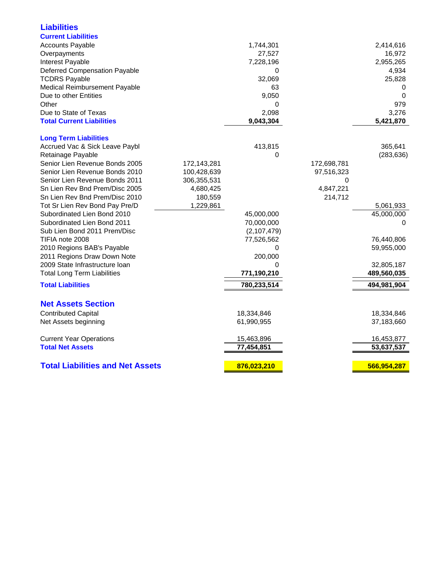| <b>Liabilities</b>                                        |             |              |             |             |
|-----------------------------------------------------------|-------------|--------------|-------------|-------------|
| <b>Current Liabilities</b>                                |             |              |             |             |
| <b>Accounts Payable</b>                                   |             | 1,744,301    |             | 2,414,616   |
| Overpayments                                              |             | 27,527       |             | 16,972      |
| Interest Payable                                          |             | 7,228,196    |             | 2,955,265   |
| <b>Deferred Compensation Payable</b>                      |             | 0            |             | 4,934       |
| <b>TCDRS Payable</b>                                      |             | 32,069       |             | 25,828      |
| Medical Reimbursement Payable                             |             | 63           |             | 0           |
| Due to other Entities                                     |             | 9,050        |             | $\Omega$    |
| Other                                                     |             | 0            |             | 979         |
| Due to State of Texas                                     |             | 2,098        |             | 3,276       |
| <b>Total Current Liabilities</b>                          |             | 9,043,304    |             | 5,421,870   |
| <b>Long Term Liabilities</b>                              |             |              |             |             |
| Accrued Vac & Sick Leave Paybl                            |             | 413,815      |             | 365,641     |
| Retainage Payable                                         |             | 0            |             | (283, 636)  |
| Senior Lien Revenue Bonds 2005                            | 172,143,281 |              | 172,698,781 |             |
| Senior Lien Revenue Bonds 2010                            | 100,428,639 |              | 97,516,323  |             |
| Senior Lien Revenue Bonds 2011                            | 306,355,531 |              | 0           |             |
| Sn Lien Rev Bnd Prem/Disc 2005                            | 4,680,425   |              | 4,847,221   |             |
| Sn Lien Rev Bnd Prem/Disc 2010                            | 180,559     |              | 214,712     |             |
| Tot Sr Lien Rev Bond Pay Pre/D                            | 1,229,861   |              |             | 5,061,933   |
| Subordinated Lien Bond 2010                               |             | 45,000,000   |             | 45,000,000  |
| Subordinated Lien Bond 2011                               |             | 70,000,000   |             | $\Omega$    |
| Sub Lien Bond 2011 Prem/Disc                              |             | (2,107,479)  |             |             |
| TIFIA note 2008                                           |             | 77,526,562   |             | 76,440,806  |
| 2010 Regions BAB's Payable<br>2011 Regions Draw Down Note |             | 0<br>200,000 |             | 59,955,000  |
| 2009 State Infrastructure loan                            |             | 0            |             | 32,805,187  |
| <b>Total Long Term Liabilities</b>                        |             | 771,190,210  |             | 489,560,035 |
| <b>Total Liabilities</b>                                  |             | 780,233,514  |             | 494,981,904 |
|                                                           |             |              |             |             |
| <b>Net Assets Section</b>                                 |             |              |             |             |
| <b>Contributed Capital</b>                                |             | 18,334,846   |             | 18,334,846  |
| Net Assets beginning                                      |             | 61,990,955   |             | 37,183,660  |
| <b>Current Year Operations</b>                            |             | 15,463,896   |             | 16,453,877  |
| <b>Total Net Assets</b>                                   |             | 77,454,851   |             | 53,637,537  |
| <b>Total Liabilities and Net Assets</b>                   |             | 876,023,210  |             | 566,954,287 |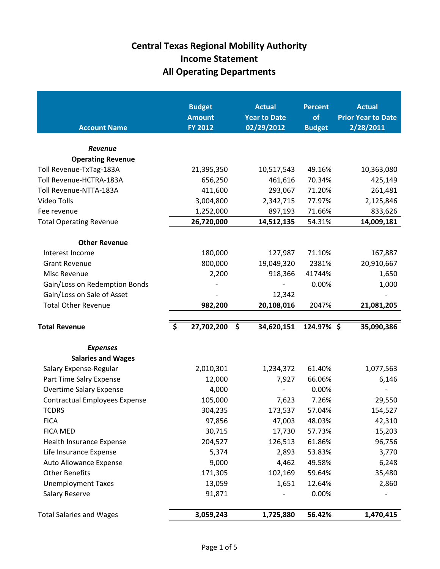| <b>Account Name</b>                  | <b>Budget</b><br><b>Amount</b><br><b>FY 2012</b> | <b>Actual</b><br><b>Year to Date</b><br>02/29/2012 | <b>Percent</b><br>of<br><b>Budget</b> | <b>Actual</b><br><b>Prior Year to Date</b><br>2/28/2011 |
|--------------------------------------|--------------------------------------------------|----------------------------------------------------|---------------------------------------|---------------------------------------------------------|
| <b>Revenue</b>                       |                                                  |                                                    |                                       |                                                         |
| <b>Operating Revenue</b>             |                                                  |                                                    |                                       |                                                         |
| Toll Revenue-TxTag-183A              | 21,395,350                                       | 10,517,543                                         | 49.16%                                | 10,363,080                                              |
| Toll Revenue-HCTRA-183A              | 656,250                                          | 461,616                                            | 70.34%                                | 425,149                                                 |
| Toll Revenue-NTTA-183A               | 411,600                                          | 293,067                                            | 71.20%                                | 261,481                                                 |
| Video Tolls                          | 3,004,800                                        | 2,342,715                                          | 77.97%                                | 2,125,846                                               |
| Fee revenue                          | 1,252,000                                        | 897,193                                            | 71.66%                                | 833,626                                                 |
| <b>Total Operating Revenue</b>       | 26,720,000                                       | 14,512,135                                         | 54.31%                                | 14,009,181                                              |
| <b>Other Revenue</b>                 |                                                  |                                                    |                                       |                                                         |
| Interest Income                      | 180,000                                          | 127,987                                            | 71.10%                                | 167,887                                                 |
| <b>Grant Revenue</b>                 | 800,000                                          | 19,049,320                                         | 2381%                                 | 20,910,667                                              |
| Misc Revenue                         | 2,200                                            | 918,366                                            | 41744%                                | 1,650                                                   |
| Gain/Loss on Redemption Bonds        |                                                  |                                                    | 0.00%                                 | 1,000                                                   |
| Gain/Loss on Sale of Asset           |                                                  | 12,342                                             |                                       |                                                         |
| <b>Total Other Revenue</b>           | 982,200                                          | 20,108,016                                         | 2047%                                 | 21,081,205                                              |
| <b>Total Revenue</b>                 | $\boldsymbol{\zeta}$<br>27,702,200               | \$<br>34,620,151                                   | 124.97%\$                             | 35,090,386                                              |
| <b>Expenses</b>                      |                                                  |                                                    |                                       |                                                         |
| <b>Salaries and Wages</b>            |                                                  |                                                    |                                       |                                                         |
| Salary Expense-Regular               | 2,010,301                                        | 1,234,372                                          | 61.40%                                | 1,077,563                                               |
| Part Time Salry Expense              | 12,000                                           | 7,927                                              | 66.06%                                | 6,146                                                   |
| <b>Overtime Salary Expense</b>       | 4,000                                            |                                                    | 0.00%                                 |                                                         |
| <b>Contractual Employees Expense</b> | 105,000                                          | 7,623                                              | 7.26%                                 | 29,550                                                  |
| <b>TCDRS</b>                         | 304,235                                          | 173,537                                            | 57.04%                                | 154,527                                                 |
| <b>FICA</b>                          | 97,856                                           | 47,003                                             | 48.03%                                | 42,310                                                  |
| <b>FICA MED</b>                      | 30,715                                           | 17,730                                             | 57.73%                                | 15,203                                                  |
| Health Insurance Expense             | 204,527                                          | 126,513                                            | 61.86%                                | 96,756                                                  |
| Life Insurance Expense               | 5,374                                            | 2,893                                              | 53.83%                                | 3,770                                                   |
| Auto Allowance Expense               | 9,000                                            | 4,462                                              | 49.58%                                | 6,248                                                   |
| <b>Other Benefits</b>                | 171,305                                          | 102,169                                            | 59.64%                                | 35,480                                                  |
| <b>Unemployment Taxes</b>            | 13,059                                           | 1,651                                              | 12.64%                                | 2,860                                                   |
| <b>Salary Reserve</b>                | 91,871                                           |                                                    | 0.00%                                 |                                                         |
| <b>Total Salaries and Wages</b>      | 3,059,243                                        | 1,725,880                                          | 56.42%                                | 1,470,415                                               |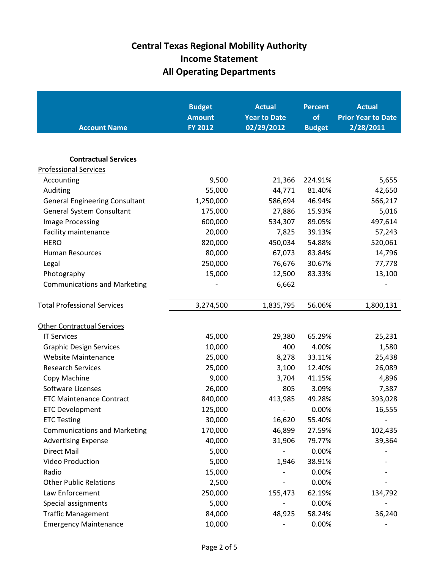| <b>Account Name</b>                   | <b>Budget</b><br><b>Amount</b><br><b>FY 2012</b> | <b>Actual</b><br><b>Year to Date</b><br>02/29/2012 | <b>Percent</b><br>of<br><b>Budget</b> | <b>Actual</b><br><b>Prior Year to Date</b><br>2/28/2011 |
|---------------------------------------|--------------------------------------------------|----------------------------------------------------|---------------------------------------|---------------------------------------------------------|
| <b>Contractual Services</b>           |                                                  |                                                    |                                       |                                                         |
| <b>Professional Services</b>          |                                                  |                                                    |                                       |                                                         |
| Accounting                            | 9,500                                            | 21,366                                             | 224.91%                               | 5,655                                                   |
| Auditing                              | 55,000                                           | 44,771                                             | 81.40%                                | 42,650                                                  |
| <b>General Engineering Consultant</b> | 1,250,000                                        | 586,694                                            | 46.94%                                | 566,217                                                 |
| General System Consultant             | 175,000                                          | 27,886                                             | 15.93%                                | 5,016                                                   |
| Image Processing                      | 600,000                                          | 534,307                                            | 89.05%                                | 497,614                                                 |
| Facility maintenance                  | 20,000                                           | 7,825                                              | 39.13%                                | 57,243                                                  |
| <b>HERO</b>                           | 820,000                                          | 450,034                                            | 54.88%                                | 520,061                                                 |
| <b>Human Resources</b>                | 80,000                                           | 67,073                                             | 83.84%                                | 14,796                                                  |
| Legal                                 | 250,000                                          | 76,676                                             | 30.67%                                | 77,778                                                  |
| Photography                           | 15,000                                           | 12,500                                             | 83.33%                                | 13,100                                                  |
| <b>Communications and Marketing</b>   |                                                  | 6,662                                              |                                       |                                                         |
| <b>Total Professional Services</b>    | 3,274,500                                        | 1,835,795                                          | 56.06%                                | 1,800,131                                               |
| <b>Other Contractual Services</b>     |                                                  |                                                    |                                       |                                                         |
| <b>IT Services</b>                    | 45,000                                           | 29,380                                             | 65.29%                                | 25,231                                                  |
| <b>Graphic Design Services</b>        | 10,000                                           | 400                                                | 4.00%                                 | 1,580                                                   |
| <b>Website Maintenance</b>            | 25,000                                           | 8,278                                              | 33.11%                                | 25,438                                                  |
| <b>Research Services</b>              | 25,000                                           | 3,100                                              | 12.40%                                | 26,089                                                  |
| Copy Machine                          | 9,000                                            | 3,704                                              | 41.15%                                | 4,896                                                   |
| Software Licenses                     | 26,000                                           | 805                                                | 3.09%                                 | 7,387                                                   |
| <b>ETC Maintenance Contract</b>       | 840,000                                          | 413,985                                            | 49.28%                                | 393,028                                                 |
| <b>ETC Development</b>                | 125,000                                          | $\overline{a}$                                     | 0.00%                                 | 16,555                                                  |
| <b>ETC Testing</b>                    | 30,000                                           | 16,620                                             | 55.40%                                |                                                         |
| <b>Communications and Marketing</b>   | 170,000                                          | 46,899                                             | 27.59%                                | 102,435                                                 |
| <b>Advertising Expense</b>            | 40,000                                           | 31,906                                             | 79.77%                                | 39,364                                                  |
| <b>Direct Mail</b>                    | 5,000                                            |                                                    | 0.00%                                 |                                                         |
| Video Production                      | 5,000                                            | 1,946                                              | 38.91%                                |                                                         |
| Radio                                 | 15,000                                           |                                                    | 0.00%                                 |                                                         |
| <b>Other Public Relations</b>         | 2,500                                            |                                                    | 0.00%                                 |                                                         |
| Law Enforcement                       | 250,000                                          | 155,473                                            | 62.19%                                | 134,792                                                 |
| Special assignments                   | 5,000                                            |                                                    | 0.00%                                 |                                                         |
| <b>Traffic Management</b>             | 84,000                                           | 48,925                                             | 58.24%                                | 36,240                                                  |
| <b>Emergency Maintenance</b>          | 10,000                                           |                                                    | 0.00%                                 |                                                         |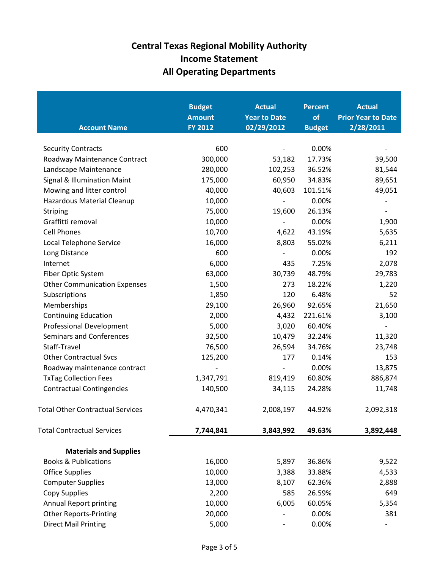| <b>Account Name</b>                     | <b>Budget</b><br><b>Amount</b><br><b>FY 2012</b> | <b>Actual</b><br><b>Year to Date</b><br>02/29/2012 | <b>Percent</b><br>of<br><b>Budget</b> | <b>Actual</b><br><b>Prior Year to Date</b><br>2/28/2011 |
|-----------------------------------------|--------------------------------------------------|----------------------------------------------------|---------------------------------------|---------------------------------------------------------|
| <b>Security Contracts</b>               | 600                                              |                                                    | 0.00%                                 |                                                         |
| Roadway Maintenance Contract            | 300,000                                          | 53,182                                             | 17.73%                                | 39,500                                                  |
| Landscape Maintenance                   | 280,000                                          | 102,253                                            | 36.52%                                | 81,544                                                  |
| Signal & Illumination Maint             | 175,000                                          | 60,950                                             | 34.83%                                | 89,651                                                  |
| Mowing and litter control               | 40,000                                           | 40,603                                             | 101.51%                               | 49,051                                                  |
| Hazardous Material Cleanup              | 10,000                                           | $\overline{\phantom{a}}$                           | 0.00%                                 |                                                         |
| <b>Striping</b>                         | 75,000                                           | 19,600                                             | 26.13%                                |                                                         |
| Graffitti removal                       | 10,000                                           | $\overline{\phantom{a}}$                           | 0.00%                                 | 1,900                                                   |
| <b>Cell Phones</b>                      | 10,700                                           | 4,622                                              | 43.19%                                | 5,635                                                   |
| Local Telephone Service                 | 16,000                                           | 8,803                                              | 55.02%                                | 6,211                                                   |
| Long Distance                           | 600                                              |                                                    | 0.00%                                 | 192                                                     |
| Internet                                | 6,000                                            | 435                                                | 7.25%                                 | 2,078                                                   |
| Fiber Optic System                      | 63,000                                           | 30,739                                             | 48.79%                                | 29,783                                                  |
| <b>Other Communication Expenses</b>     | 1,500                                            | 273                                                | 18.22%                                | 1,220                                                   |
| Subscriptions                           | 1,850                                            | 120                                                | 6.48%                                 | 52                                                      |
| Memberships                             | 29,100                                           | 26,960                                             | 92.65%                                | 21,650                                                  |
| <b>Continuing Education</b>             | 2,000                                            | 4,432                                              | 221.61%                               | 3,100                                                   |
| <b>Professional Development</b>         | 5,000                                            | 3,020                                              | 60.40%                                | $\qquad \qquad \blacksquare$                            |
| <b>Seminars and Conferences</b>         | 32,500                                           | 10,479                                             | 32.24%                                | 11,320                                                  |
| Staff-Travel                            | 76,500                                           | 26,594                                             | 34.76%                                | 23,748                                                  |
| <b>Other Contractual Svcs</b>           | 125,200                                          | 177                                                | 0.14%                                 | 153                                                     |
| Roadway maintenance contract            |                                                  |                                                    | 0.00%                                 | 13,875                                                  |
| <b>TxTag Collection Fees</b>            | 1,347,791                                        | 819,419                                            | 60.80%                                | 886,874                                                 |
| <b>Contractual Contingencies</b>        | 140,500                                          | 34,115                                             | 24.28%                                | 11,748                                                  |
| <b>Total Other Contractual Services</b> | 4,470,341                                        | 2,008,197                                          | 44.92%                                | 2,092,318                                               |
| <b>Total Contractual Services</b>       | 7,744,841                                        | 3,843,992                                          | 49.63%                                | 3,892,448                                               |
| <b>Materials and Supplies</b>           |                                                  |                                                    |                                       |                                                         |
| <b>Books &amp; Publications</b>         | 16,000                                           | 5,897                                              | 36.86%                                | 9,522                                                   |
| <b>Office Supplies</b>                  | 10,000                                           | 3,388                                              | 33.88%                                | 4,533                                                   |
| <b>Computer Supplies</b>                | 13,000                                           | 8,107                                              | 62.36%                                | 2,888                                                   |
| <b>Copy Supplies</b>                    | 2,200                                            | 585                                                | 26.59%                                | 649                                                     |
| <b>Annual Report printing</b>           | 10,000                                           | 6,005                                              | 60.05%                                | 5,354                                                   |
| <b>Other Reports-Printing</b>           | 20,000                                           |                                                    | 0.00%                                 | 381                                                     |
| <b>Direct Mail Printing</b>             | 5,000                                            |                                                    | 0.00%                                 |                                                         |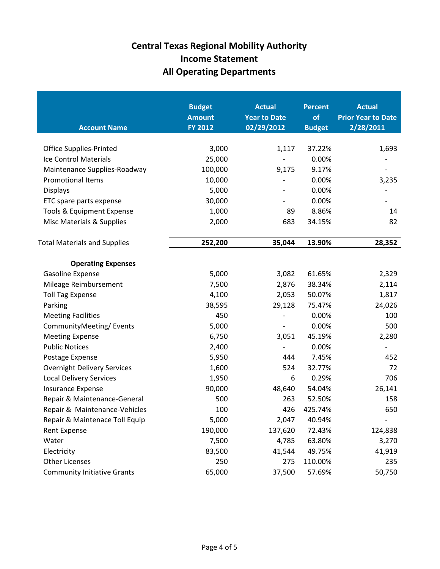| <b>Account Name</b>                 | <b>Budget</b><br><b>Amount</b><br><b>FY 2012</b> | <b>Actual</b><br><b>Year to Date</b><br>02/29/2012 | <b>Percent</b><br>of<br><b>Budget</b> | <b>Actual</b><br><b>Prior Year to Date</b><br>2/28/2011 |
|-------------------------------------|--------------------------------------------------|----------------------------------------------------|---------------------------------------|---------------------------------------------------------|
| <b>Office Supplies-Printed</b>      | 3,000                                            | 1,117                                              | 37.22%                                | 1,693                                                   |
| Ice Control Materials               | 25,000                                           |                                                    | 0.00%                                 |                                                         |
| Maintenance Supplies-Roadway        | 100,000                                          | 9,175                                              | 9.17%                                 |                                                         |
| <b>Promotional Items</b>            | 10,000                                           |                                                    | 0.00%                                 | 3,235                                                   |
| <b>Displays</b>                     | 5,000                                            |                                                    | 0.00%                                 |                                                         |
| ETC spare parts expense             | 30,000                                           |                                                    | 0.00%                                 |                                                         |
| Tools & Equipment Expense           | 1,000                                            | 89                                                 | 8.86%                                 | 14                                                      |
| Misc Materials & Supplies           | 2,000                                            | 683                                                | 34.15%                                | 82                                                      |
| <b>Total Materials and Supplies</b> | 252,200                                          | 35,044                                             | 13.90%                                | 28,352                                                  |
|                                     |                                                  |                                                    |                                       |                                                         |
| <b>Operating Expenses</b>           |                                                  |                                                    |                                       |                                                         |
| Gasoline Expense                    | 5,000                                            | 3,082                                              | 61.65%                                | 2,329                                                   |
| Mileage Reimbursement               | 7,500                                            | 2,876                                              | 38.34%                                | 2,114                                                   |
| <b>Toll Tag Expense</b>             | 4,100                                            | 2,053                                              | 50.07%                                | 1,817                                                   |
| Parking                             | 38,595                                           | 29,128                                             | 75.47%                                | 24,026                                                  |
| <b>Meeting Facilities</b>           | 450                                              |                                                    | 0.00%                                 | 100                                                     |
| CommunityMeeting/Events             | 5,000                                            |                                                    | 0.00%                                 | 500                                                     |
| <b>Meeting Expense</b>              | 6,750                                            | 3,051                                              | 45.19%                                | 2,280                                                   |
| <b>Public Notices</b>               | 2,400                                            |                                                    | 0.00%                                 |                                                         |
| Postage Expense                     | 5,950                                            | 444                                                | 7.45%                                 | 452                                                     |
| <b>Overnight Delivery Services</b>  | 1,600                                            | 524                                                | 32.77%                                | 72                                                      |
| <b>Local Delivery Services</b>      | 1,950                                            | 6                                                  | 0.29%                                 | 706                                                     |
| Insurance Expense                   | 90,000                                           | 48,640                                             | 54.04%                                | 26,141                                                  |
| Repair & Maintenance-General        | 500                                              | 263                                                | 52.50%                                | 158                                                     |
| Repair & Maintenance-Vehicles       | 100                                              | 426                                                | 425.74%                               | 650                                                     |
| Repair & Maintenace Toll Equip      | 5,000                                            | 2,047                                              | 40.94%                                |                                                         |
| <b>Rent Expense</b>                 | 190,000                                          | 137,620                                            | 72.43%                                | 124,838                                                 |
| Water                               | 7,500                                            | 4,785                                              | 63.80%                                | 3,270                                                   |
| Electricity                         | 83,500                                           | 41,544                                             | 49.75%                                | 41,919                                                  |
| <b>Other Licenses</b>               | 250                                              | 275                                                | 110.00%                               | 235                                                     |
| <b>Community Initiative Grants</b>  | 65,000                                           | 37,500                                             | 57.69%                                | 50,750                                                  |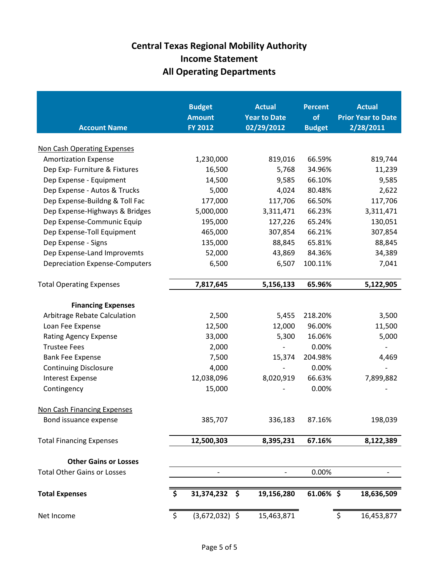| <b>Account Name</b>                                       | <b>Budget</b><br><b>Amount</b><br><b>FY 2012</b> | <b>Actual</b><br><b>Year to Date</b><br>02/29/2012 | <b>Percent</b><br>of<br><b>Budget</b> | <b>Actual</b><br><b>Prior Year to Date</b><br>2/28/2011 |
|-----------------------------------------------------------|--------------------------------------------------|----------------------------------------------------|---------------------------------------|---------------------------------------------------------|
| Non Cash Operating Expenses                               |                                                  |                                                    |                                       |                                                         |
| <b>Amortization Expense</b>                               | 1,230,000                                        | 819,016                                            | 66.59%                                | 819,744                                                 |
| Dep Exp- Furniture & Fixtures                             | 16,500                                           | 5,768                                              | 34.96%                                | 11,239                                                  |
| Dep Expense - Equipment                                   | 14,500                                           | 9,585                                              | 66.10%                                | 9,585                                                   |
| Dep Expense - Autos & Trucks                              | 5,000                                            | 4,024                                              | 80.48%                                | 2,622                                                   |
| Dep Expense-Buildng & Toll Fac                            | 177,000                                          | 117,706                                            | 66.50%                                | 117,706                                                 |
| Dep Expense-Highways & Bridges                            | 5,000,000                                        | 3,311,471                                          | 66.23%                                | 3,311,471                                               |
| Dep Expense-Communic Equip                                | 195,000                                          | 127,226                                            | 65.24%                                | 130,051                                                 |
| Dep Expense-Toll Equipment                                | 465,000                                          | 307,854                                            | 66.21%                                | 307,854                                                 |
| Dep Expense - Signs                                       | 135,000                                          | 88,845                                             | 65.81%                                | 88,845                                                  |
| Dep Expense-Land Improvemts                               | 52,000                                           | 43,869                                             | 84.36%                                | 34,389                                                  |
| <b>Depreciation Expense-Computers</b>                     | 6,500                                            | 6,507                                              | 100.11%                               | 7,041                                                   |
| <b>Total Operating Expenses</b>                           | 7,817,645                                        | 5,156,133                                          | 65.96%                                | 5,122,905                                               |
|                                                           |                                                  |                                                    |                                       |                                                         |
| <b>Financing Expenses</b><br>Arbitrage Rebate Calculation | 2,500                                            | 5,455                                              | 218.20%                               | 3,500                                                   |
| Loan Fee Expense                                          | 12,500                                           | 12,000                                             | 96.00%                                | 11,500                                                  |
| <b>Rating Agency Expense</b>                              | 33,000                                           | 5,300                                              | 16.06%                                | 5,000                                                   |
| <b>Trustee Fees</b>                                       | 2,000                                            |                                                    | 0.00%                                 |                                                         |
| <b>Bank Fee Expense</b>                                   | 7,500                                            | 15,374                                             | 204.98%                               | 4,469                                                   |
| <b>Continuing Disclosure</b>                              | 4,000                                            |                                                    | 0.00%                                 |                                                         |
| <b>Interest Expense</b>                                   | 12,038,096                                       | 8,020,919                                          | 66.63%                                | 7,899,882                                               |
| Contingency                                               | 15,000                                           |                                                    | 0.00%                                 |                                                         |
| <b>Non Cash Financing Expenses</b>                        |                                                  |                                                    |                                       |                                                         |
| Bond issuance expense                                     | 385,707                                          | 336,183                                            | 87.16%                                | 198,039                                                 |
| <b>Total Financing Expenses</b>                           | 12,500,303                                       | 8,395,231                                          | 67.16%                                | 8,122,389                                               |
|                                                           |                                                  |                                                    |                                       |                                                         |
| <b>Other Gains or Losses</b>                              |                                                  |                                                    |                                       |                                                         |
| <b>Total Other Gains or Losses</b>                        |                                                  |                                                    | 0.00%                                 |                                                         |
| <b>Total Expenses</b>                                     | \$<br>31,374,232<br>\$                           | 19,156,280                                         | 61.06% \$                             | 18,636,509                                              |
| Net Income                                                | \$<br>$(3,672,032)$ \$                           | 15,463,871                                         |                                       | \$<br>16,453,877                                        |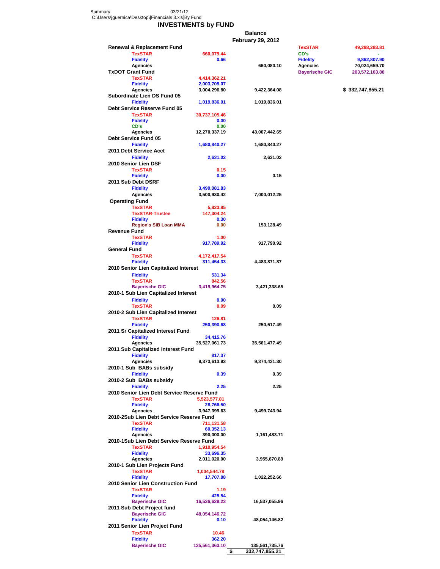Summary 03/21/12 C:\Users\jguernica\Desktop\[Financials 3.xls]By Fund

#### **INVESTMENTS by FUND**

**Balance**

|                                                            |                            | <b>February 29, 2012</b> |                             |                               |
|------------------------------------------------------------|----------------------------|--------------------------|-----------------------------|-------------------------------|
| <b>Renewal &amp; Replacement Fund</b>                      |                            |                          | <b>TexSTAR</b>              | 49,288,283.81                 |
| <b>TexSTAR</b>                                             | 660,079.44                 |                          | CD's                        |                               |
| <b>Fidelity</b><br><b>Agencies</b>                         | 0.66                       | 660,080.10               | <b>Fidelity</b><br>Agencies | 9,862,807.90<br>70,024,659.70 |
| <b>TxDOT Grant Fund</b>                                    |                            |                          | <b>Bayerische GIC</b>       | 203,572,103.80                |
| <b>TexSTAR</b>                                             | 4,414,362.21               |                          |                             |                               |
| <b>Fidelity</b>                                            | 2,003,705.07               |                          |                             |                               |
| <b>Agencies</b>                                            | 3,004,296.80               | 9,422,364.08             |                             | \$332,747,855.21              |
| Subordinate Lien DS Fund 05<br><b>Fidelity</b>             | 1,019,836.01               | 1,019,836.01             |                             |                               |
| Debt Service Reserve Fund 05                               |                            |                          |                             |                               |
| <b>TexSTAR</b>                                             | 30,737,105.46              |                          |                             |                               |
| <b>Fidelity</b>                                            | 0.00                       |                          |                             |                               |
| CD's                                                       | 0.00                       |                          |                             |                               |
| <b>Agencies</b><br>Debt Service Fund 05                    | 12,270,337.19              | 43,007,442.65            |                             |                               |
| <b>Fidelity</b>                                            | 1,680,840.27               | 1,680,840.27             |                             |                               |
| 2011 Debt Service Acct                                     |                            |                          |                             |                               |
| <b>Fidelity</b>                                            | 2,631.02                   | 2,631.02                 |                             |                               |
| 2010 Senior Lien DSF                                       |                            |                          |                             |                               |
| <b>TexSTAR</b><br><b>Fidelity</b>                          | 0.15<br>0.00               | 0.15                     |                             |                               |
| 2011 Sub Debt DSRF                                         |                            |                          |                             |                               |
| <b>Fidelity</b>                                            | 3,499,081.83               |                          |                             |                               |
| <b>Agencies</b>                                            | 3,500,930.42               | 7,000,012.25             |                             |                               |
| <b>Operating Fund</b>                                      |                            |                          |                             |                               |
| <b>TexSTAR</b>                                             | 5,823.95                   |                          |                             |                               |
| <b>TexSTAR-Trustee</b>                                     | 147,304.24                 |                          |                             |                               |
| <b>Fidelity</b><br><b>Region's SIB Loan MMA</b>            | 0.30<br>0.00               | 153,128.49               |                             |                               |
| <b>Revenue Fund</b>                                        |                            |                          |                             |                               |
| <b>TexSTAR</b>                                             | 1.00                       |                          |                             |                               |
| <b>Fidelity</b>                                            | 917,789.92                 | 917,790.92               |                             |                               |
| <b>General Fund</b>                                        |                            |                          |                             |                               |
| <b>TexSTAR</b><br><b>Fidelity</b>                          | 4,172,417.54<br>311,454.33 | 4,483,871.87             |                             |                               |
| 2010 Senior Lien Capitalized Interest                      |                            |                          |                             |                               |
| <b>Fidelity</b>                                            | 531.34                     |                          |                             |                               |
| <b>TexSTAR</b>                                             | 842.56                     |                          |                             |                               |
| <b>Bayerische GIC</b>                                      | 3,419,964.75               | 3,421,338.65             |                             |                               |
| 2010-1 Sub Lien Capitalized Interest                       |                            |                          |                             |                               |
| <b>Fidelity</b><br><b>TexSTAR</b>                          | 0.00<br>0.09               | 0.09                     |                             |                               |
| 2010-2 Sub Lien Capitalized Interest                       |                            |                          |                             |                               |
| <b>TexSTAR</b>                                             | 126.81                     |                          |                             |                               |
| <b>Fidelity</b>                                            | 250,390.68                 | 250,517.49               |                             |                               |
| 2011 Sr Capitalized Interest Fund                          |                            |                          |                             |                               |
| <b>Fidelity</b><br><b>Agencies</b>                         | 34,415.76<br>35,527,061.73 | 35,561,477.49            |                             |                               |
| 2011 Sub Capitalized Interest Fund                         |                            |                          |                             |                               |
| <b>Fidelity</b>                                            | 817.37                     |                          |                             |                               |
| <b>Agencies</b>                                            | 9,373,613.93               | 9,374,431.30             |                             |                               |
| 2010-1 Sub BABs subsidy                                    |                            |                          |                             |                               |
| <b>Fidelity</b>                                            | 0.39                       | 0.39                     |                             |                               |
| 2010-2 Sub BABs subsidy<br><b>Fidelity</b>                 | 2.25                       | 2.25                     |                             |                               |
| 2010 Senior Lien Debt Service Reserve Fund                 |                            |                          |                             |                               |
| <b>TexSTAR</b>                                             | 5,523,577.81               |                          |                             |                               |
| <b>Fidelity</b>                                            | 28,766.50                  |                          |                             |                               |
| <b>Agencies</b>                                            | 3,947,399.63               | 9,499,743.94             |                             |                               |
| 2010-2Sub Lien Debt Service Reserve Fund<br><b>TexSTAR</b> |                            |                          |                             |                               |
| <b>Fidelity</b>                                            | 711,131.58<br>60,352.13    |                          |                             |                               |
| <b>Agencies</b>                                            | 390,000.00                 | 1,161,483.71             |                             |                               |
| 2010-1Sub Lien Debt Service Reserve Fund                   |                            |                          |                             |                               |
| <b>TexSTAR</b>                                             | 1,910,954.54               |                          |                             |                               |
| <b>Fidelity</b>                                            | 33,696.35                  |                          |                             |                               |
| <b>Agencies</b>                                            | 2,011,020.00               | 3,955,670.89             |                             |                               |
| 2010-1 Sub Lien Projects Fund<br><b>TexSTAR</b>            | 1,004,544.78               |                          |                             |                               |
| <b>Fidelity</b>                                            | 17,707.88                  | 1,022,252.66             |                             |                               |
| 2010 Senior Lien Construction Fund                         |                            |                          |                             |                               |
| <b>TexSTAR</b>                                             | 1.19                       |                          |                             |                               |
| <b>Fidelity</b>                                            | 425.54                     |                          |                             |                               |
| <b>Bayerische GIC</b><br>2011 Sub Debt Project fund        | 16,536,629.23              | 16,537,055.96            |                             |                               |
| <b>Bayerische GIC</b>                                      | 48,054,146.72              |                          |                             |                               |
| <b>Fidelity</b>                                            | 0.10                       | 48,054,146.82            |                             |                               |
| 2011 Senior Lien Project Fund                              |                            |                          |                             |                               |
| <b>TexSTAR</b>                                             | 10.46                      |                          |                             |                               |
| <b>Fidelity</b>                                            | 362.20                     |                          |                             |                               |
| <b>Bayerische GIC</b>                                      | 135,561,363.10             | 135,561,735.76           |                             |                               |
|                                                            | \$                         | 332,747,855.21           |                             |                               |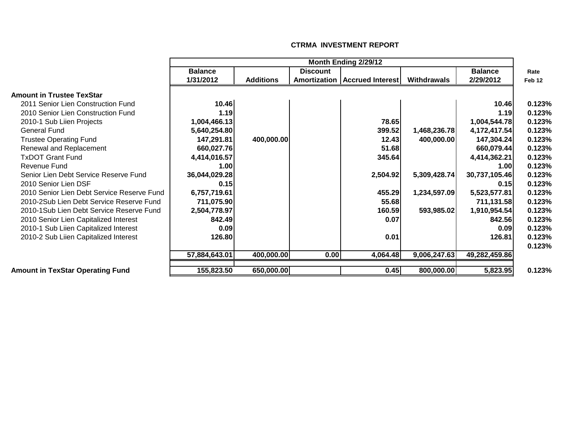|                                            |                |                  |                 | Month Ending 2/29/12            |              |                |                   |
|--------------------------------------------|----------------|------------------|-----------------|---------------------------------|--------------|----------------|-------------------|
|                                            | <b>Balance</b> |                  | <b>Discount</b> |                                 |              | <b>Balance</b> | Rate              |
|                                            | 1/31/2012      | <b>Additions</b> |                 | Amortization   Accrued Interest | Withdrawals  | 2/29/2012      | Feb <sub>12</sub> |
| າount in Trustee TexStar                   |                |                  |                 |                                 |              |                |                   |
| 2011 Senior Lien Construction Fund         | 10.46          |                  |                 |                                 |              | 10.46          | 0.123%            |
| 2010 Senior Lien Construction Fund         | 1.19           |                  |                 |                                 |              | 1.19           | 0.123%            |
| 2010-1 Sub Liien Projects                  | 1,004,466.13   |                  |                 | 78.65                           |              | 1,004,544.78   | 0.123%            |
| General Fund                               | 5,640,254.80   |                  |                 | 399.52                          | 1,468,236.78 | 4,172,417.54   | 0.123%            |
| <b>Trustee Operating Fund</b>              | 147,291.81     | 400,000.00       |                 | 12.43                           | 400,000.00   | 147,304.24     | 0.123%            |
| Renewal and Replacement                    | 660,027.76     |                  |                 | 51.68                           |              | 660,079.44     | 0.123%            |
| <b>TxDOT Grant Fund</b>                    | 4,414,016.57   |                  |                 | 345.64                          |              | 4,414,362.21   | 0.123%            |
| Revenue Fund                               | 1.00           |                  |                 |                                 |              | 1.00           | 0.123%            |
| Senior Lien Debt Service Reserve Fund      | 36,044,029.28  |                  |                 | 2,504.92                        | 5,309,428.74 | 30,737,105.46  | 0.123%            |
| 2010 Senior Lien DSF                       | 0.15           |                  |                 |                                 |              | 0.15           | 0.123%            |
| 2010 Senior Lien Debt Service Reserve Fund | 6,757,719.61   |                  |                 | 455.29                          | 1,234,597.09 | 5,523,577.81   | 0.123%            |
| 2010-2Sub Lien Debt Service Reserve Fund   | 711,075.90     |                  |                 | 55.68                           |              | 711,131.58     | 0.123%            |
| 2010-1Sub Lien Debt Service Reserve Fund   | 2,504,778.97   |                  |                 | 160.59                          | 593,985.02   | 1,910,954.54   | 0.123%            |
| 2010 Senior Lien Capitalized Interest      | 842.49         |                  |                 | 0.07                            |              | 842.56         | 0.123%            |
| 2010-1 Sub Liien Capitalized Interest      | 0.09           |                  |                 |                                 |              | 0.09           | 0.123%            |
| 2010-2 Sub Liien Capitalized Interest      | 126.80         |                  |                 | 0.01                            |              | 126.81         | 0.123%            |
|                                            |                |                  |                 |                                 |              |                | 0.123%            |
|                                            | 57,884,643.01  | 400,000.00       | 0.00            | 4,064.48                        | 9,006,247.63 | 49,282,459.86  |                   |
| ount in TexStar Operating Fund             | 155,823.50     | 650,000.00       |                 | 0.45                            | 800,000.00   | 5,823.95       | 0.123%            |

#### **CTRMA INVESTMENT REPORT**

# **Amount in Trustee Texs**<br>2011 Senior Lien Cons

### **Amount in TexStar Operation**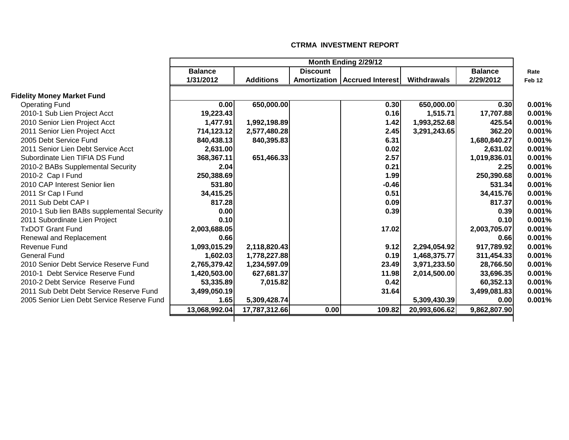|                                            |                |                  |                 | Month Ending 2/29/12                   |               |                |        |
|--------------------------------------------|----------------|------------------|-----------------|----------------------------------------|---------------|----------------|--------|
|                                            | <b>Balance</b> |                  | <b>Discount</b> |                                        |               | <b>Balance</b> | Rate   |
|                                            | 1/31/2012      | <b>Additions</b> |                 | <b>Amortization   Accrued Interest</b> | Withdrawals   | 2/29/2012      | Feb 12 |
| <b>Fidelity Money Market Fund</b>          |                |                  |                 |                                        |               |                |        |
| <b>Operating Fund</b>                      | 0.00           | 650,000.00       |                 | 0.30                                   | 650,000.00    | 0.30           | 0.001% |
| 2010-1 Sub Lien Project Acct               | 19,223.43      |                  |                 | 0.16                                   | 1,515.71      | 17,707.88      | 0.001% |
| 2010 Senior Lien Project Acct              | 1,477.91       | 1,992,198.89     |                 | 1.42                                   | 1,993,252.68  | 425.54         | 0.001% |
| 2011 Senior Lien Project Acct              | 714,123.12     | 2,577,480.28     |                 | 2.45                                   | 3,291,243.65  | 362.20         | 0.001% |
| 2005 Debt Service Fund                     | 840,438.13     | 840,395.83       |                 | 6.31                                   |               | 1,680,840.27   | 0.001% |
| 2011 Senior Lien Debt Service Acct         | 2,631.00       |                  |                 | 0.02                                   |               | 2,631.02       | 0.001% |
| Subordinate Lien TIFIA DS Fund             | 368,367.11     | 651,466.33       |                 | 2.57                                   |               | 1,019,836.01   | 0.001% |
| 2010-2 BABs Supplemental Security          | 2.04           |                  |                 | 0.21                                   |               | 2.25           | 0.001% |
| 2010-2 Cap I Fund                          | 250,388.69     |                  |                 | 1.99                                   |               | 250,390.68     | 0.001% |
| 2010 CAP Interest Senior lien              | 531.80         |                  |                 | $-0.46$                                |               | 531.34         | 0.001% |
| 2011 Sr Cap I Fund                         | 34,415.25      |                  |                 | 0.51                                   |               | 34,415.76      | 0.001% |
| 2011 Sub Debt CAP I                        | 817.28         |                  |                 | 0.09                                   |               | 817.37         | 0.001% |
| 2010-1 Sub lien BABs supplemental Security | 0.00           |                  |                 | 0.39                                   |               | 0.39           | 0.001% |
| 2011 Subordinate Lien Project              | 0.10           |                  |                 |                                        |               | 0.10           | 0.001% |
| <b>TxDOT Grant Fund</b>                    | 2,003,688.05   |                  |                 | 17.02                                  |               | 2,003,705.07   | 0.001% |
| Renewal and Replacement                    | 0.66           |                  |                 |                                        |               | 0.66           | 0.001% |
| <b>Revenue Fund</b>                        | 1,093,015.29   | 2,118,820.43     |                 | 9.12                                   | 2,294,054.92  | 917,789.92     | 0.001% |
| <b>General Fund</b>                        | 1,602.03       | 1,778,227.88     |                 | 0.19                                   | 1,468,375.77  | 311,454.33     | 0.001% |
| 2010 Senior Debt Service Reserve Fund      | 2,765,379.42   | 1,234,597.09     |                 | 23.49                                  | 3,971,233.50  | 28,766.50      | 0.001% |
| 2010-1 Debt Service Reserve Fund           | 1,420,503.00   | 627,681.37       |                 | 11.98                                  | 2,014,500.00  | 33,696.35      | 0.001% |
| 2010-2 Debt Service Reserve Fund           | 53,335.89      | 7,015.82         |                 | 0.42                                   |               | 60,352.13      | 0.001% |
| 2011 Sub Debt Debt Service Reserve Fund    | 3,499,050.19   |                  |                 | 31.64                                  |               | 3,499,081.83   | 0.001% |
| 2005 Senior Lien Debt Service Reserve Fund | 1.65           | 5,309,428.74     |                 |                                        | 5,309,430.39  | 0.00           | 0.001% |
|                                            | 13,068,992.04  | 17,787,312.66    | 0.00            | 109.82                                 | 20,993,606.62 | 9,862,807.90   |        |
|                                            |                |                  |                 |                                        |               |                |        |

#### **CTRMA INVESTMENT REPORT**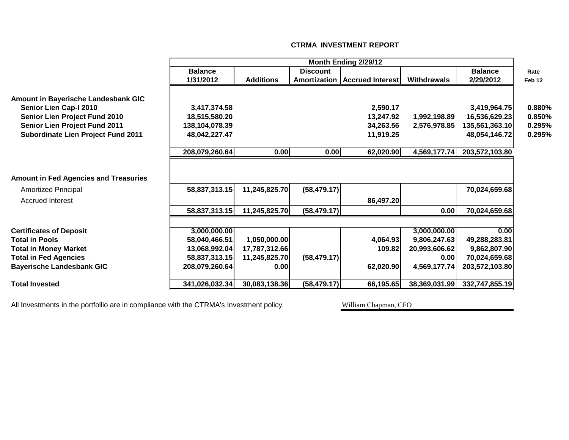|                                              | Month Ending 2/29/12 |                  |                 |                                 |                    |                |                   |  |  |
|----------------------------------------------|----------------------|------------------|-----------------|---------------------------------|--------------------|----------------|-------------------|--|--|
|                                              | <b>Balance</b>       |                  | <b>Discount</b> |                                 |                    | <b>Balance</b> | Rate              |  |  |
|                                              | 1/31/2012            | <b>Additions</b> |                 | Amortization   Accrued Interest | <b>Withdrawals</b> | 2/29/2012      | Feb <sub>12</sub> |  |  |
| <b>Amount in Bayerische Landesbank GIC</b>   |                      |                  |                 |                                 |                    |                |                   |  |  |
| Senior Lien Cap-I 2010                       | 3,417,374.58         |                  |                 | 2,590.17                        |                    | 3,419,964.75   | 0.880%            |  |  |
| Senior Lien Project Fund 2010                | 18,515,580.20        |                  |                 | 13,247.92                       | 1,992,198.89       | 16,536,629.23  | 0.850%            |  |  |
| Senior Lien Project Fund 2011                | 138,104,078.39       |                  |                 | 34,263.56                       | 2,576,978.85       | 135,561,363.10 | 0.295%            |  |  |
| <b>Subordinate Lien Project Fund 2011</b>    | 48,042,227.47        |                  |                 | 11,919.25                       |                    | 48,054,146.72  | 0.295%            |  |  |
|                                              | 208,079,260.64       | 0.00             | 0.00            | 62,020.90                       | 4,569,177.74       | 203,572,103.80 |                   |  |  |
| <b>Amount in Fed Agencies and Treasuries</b> |                      |                  |                 |                                 |                    |                |                   |  |  |
| <b>Amortized Principal</b>                   | 58,837,313.15        | 11,245,825.70    | (58, 479.17)    |                                 |                    | 70,024,659.68  |                   |  |  |
| <b>Accrued Interest</b>                      |                      |                  |                 | 86,497.20                       |                    |                |                   |  |  |
|                                              | 58,837,313.15        | 11,245,825.70    | (58, 479.17)    |                                 | 0.00               | 70,024,659.68  |                   |  |  |
| <b>Certificates of Deposit</b>               | 3,000,000.00         |                  |                 |                                 | 3,000,000.00       | 0.00           |                   |  |  |
| <b>Total in Pools</b>                        | 58,040,466.51        | 1,050,000.00     |                 | 4,064.93                        | 9,806,247.63       | 49,288,283.81  |                   |  |  |
| <b>Total in Money Market</b>                 | 13,068,992.04        | 17,787,312.66    |                 | 109.82                          | 20,993,606.62      | 9,862,807.90   |                   |  |  |
| <b>Total in Fed Agencies</b>                 | 58,837,313.15        | 11,245,825.70    | (58, 479.17)    |                                 | 0.00               | 70,024,659.68  |                   |  |  |
| <b>Bayerische Landesbank GIC</b>             | 208,079,260.64       | 0.00             |                 | 62,020.90                       | 4,569,177.74       | 203,572,103.80 |                   |  |  |
| <b>Total Invested</b>                        | 341,026,032.34       | 30,083,138.36    | (58, 479.17)    | 66,195.65                       | 38,369,031.99      | 332,747,855.19 |                   |  |  |

#### **CTRMA INVESTMENT REPORT**

All Investments in the portfollio are in compliance with the CTRMA's Investment policy. William Chapman, CFO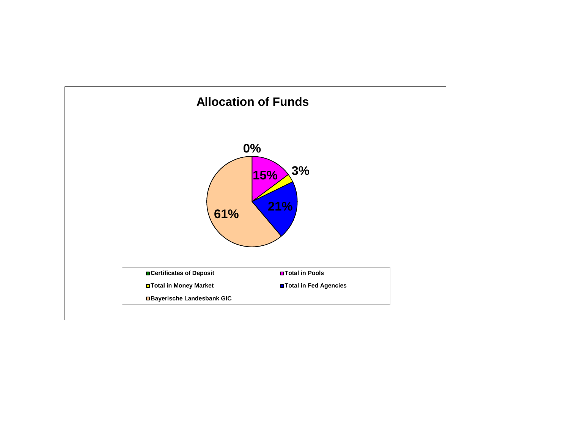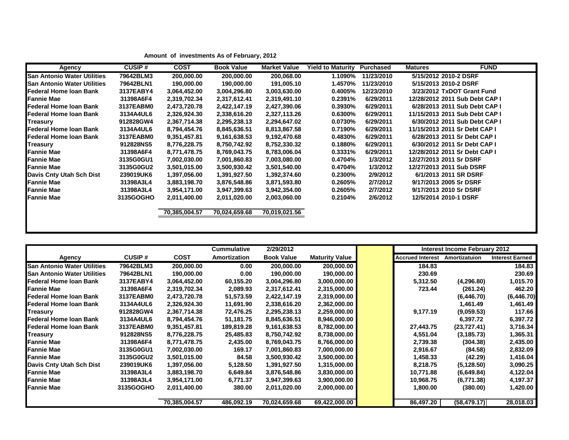| Agency                             | <b>CUSIP#</b> | <b>COST</b>   | <b>Book Value</b> | <b>Market Value</b> | <b>Yield to Maturity</b> | <b>Purchased</b> | <b>FUND</b><br><b>Matures</b>  |
|------------------------------------|---------------|---------------|-------------------|---------------------|--------------------------|------------------|--------------------------------|
| <b>San Antonio Water Utilities</b> | 79642BLM3     | 200,000.00    | 200,000.00        | 200,068.00          | 1.1090%                  | 11/23/2010       | 5/15/2012 2010-2 DSRF          |
| <b>San Antonio Water Utilities</b> | 79642BLN1     | 190,000.00    | 190,000.00        | 191,005.10          | 1.4570%                  | 11/23/2010       | 5/15/2013 2010-2 DSRF          |
| Federal Home Ioan Bank             | 3137EABY4     | 3,064,452.00  | 3,004,296.80      | 3,003,630.00        | 0.4005%                  | 12/23/2010       | 3/23/2012 TxDOT Grant Fund     |
| Fannie Mae                         | 31398A6F4     | 2,319,702.34  | 2,317,612.41      | 2,319,491.10        | 0.2391%                  | 6/29/2011        | 12/28/2012 2011 Sub Debt CAP I |
| Federal Home Ioan Bank             | 3137EABM0     | 2,473,720.78  | 2,422,147.19      | 2,427,390.06        | 0.3930%                  | 6/29/2011        | 6/28/2013 2011 Sub Debt CAP I  |
| Federal Home Ioan Bank             | 3134A4UL6     | 2,326,924.30  | 2,338,616.20      | 2,327,113.26        | 0.6300%                  | 6/29/2011        | 11/15/2013 2011 Sub Debt CAP I |
| <b>Treasury</b>                    | 912828GW4     | 2,367,714.38  | 2,295,238.13      | 2,294,647.02        | 0.0730%                  | 6/29/2011        | 6/30/2012 2011 Sub Debt CAP I  |
| Federal Home Ioan Bank             | 3134A4UL6     | 8,794,454.76  | 8,845,636.51      | 8,813,867.58        | 0.7190%                  | 6/29/2011        | 11/15/2013 2011 Sr Debt CAP I  |
| Federal Home Ioan Bank             | 3137EABM0     | 9,351,457.81  | 9,161,638.53      | 9,192,470.68        | 0.4830%                  | 6/29/2011        | 6/28/2013 2011 Sr Debt CAP I   |
| <b>Treasury</b>                    | 912828NS5     | 8,776,228.75  | 8,750,742.92      | 8,752,330.32        | 0.1880%                  | 6/29/2011        | 6/30/2012 2011 Sr Debt CAP I   |
| <b>Fannie Mae</b>                  | 31398A6F4     | 8,771,478.75  | 8,769,043.75      | 8,783,006.04        | 0.3331%                  | 6/29/2011        | 12/28/2012 2011 Sr Debt CAP I  |
| <b>Fannie Mae</b>                  | 3135G0GU1     | 7,002,030.00  | 7,001,860.83      | 7,003,080.00        | 0.4704%                  | 1/3/2012         | 12/27/2013 2011 Sr DSRF        |
| <b>Fannie Mae</b>                  | 3135G0GU2     | 3,501,015.00  | 3,500,930.42      | 3,501,540.00        | 0.4704%                  | 1/3/2012         | 12/27/2013 2011 Sub DSRF       |
| Davis Cnty Utah Sch Dist           | 239019UK6     | 1,397,056.00  | 1,391,927.50      | 1,392,374.60        | 0.2300%                  | 2/9/2012         | 6/1/2013 2011 SR DSRF          |
| <b>Fannie Mae</b>                  | 31398A3L4     | 3,883,198.70  | 3,876,548.86      | 3,871,593.80        | 0.2605%                  | 2/7/2012         | 9/17/2013 2005 Sr DSRF         |
| <b>Fannie Mae</b>                  | 31398A3L4     | 3,954,171.00  | 3,947,399.63      | 3,942,354.00        | 0.2605%                  | 2/7/2012         | 9/17/2013 2010 Sr DSRF         |
| <b>Fannie Mae</b>                  | 3135GOGHO     | 2,011,400.00  | 2,011,020.00      | 2,003,060.00        | 0.2104%                  | 2/6/2012         | 12/5/2014 2010-1 DSRF          |
|                                    |               | 70,385,004.57 | 70,024,659.68     | 70,019,021.56       |                          |                  |                                |
|                                    |               |               |                   |                     |                          |                  |                                |

| Amount of investments As of February, 2012 |  |
|--------------------------------------------|--|
|--------------------------------------------|--|

|                                    |               |               | <b>Cummulative</b>  | 2/29/2012         |                       | Interest Income February 2012 |               |                        |
|------------------------------------|---------------|---------------|---------------------|-------------------|-----------------------|-------------------------------|---------------|------------------------|
| Agency                             | <b>CUSIP#</b> | <b>COST</b>   | <b>Amortization</b> | <b>Book Value</b> | <b>Maturity Value</b> | <b>Accrued Interest</b>       | Amortizatuion | <b>Interest Earned</b> |
| <b>San Antonio Water Utilities</b> | 79642BLM3     | 200,000.00    | 0.00                | 200,000.00        | 200,000.00            | 184.83                        |               | 184.83                 |
| <b>San Antonio Water Utilities</b> | 79642BLN1     | 190,000.00    | 0.00                | 190,000.00        | 190,000.00            | 230.69                        |               | 230.69                 |
| Federal Home Ioan Bank             | 3137EABY4     | 3,064,452.00  | 60,155.20           | 3,004,296.80      | 3,000,000.00          | 5,312.50                      | (4,296.80)    | 1,015.70               |
| <b>IF</b> annie Mae                | 31398A6F4     | 2,319,702.34  | 2,089.93            | 2,317,612.41      | 2,315,000.00          | 723.44                        | (261.24)      | 462.20                 |
| Federal Home Ioan Bank             | 3137EABM0     | 2,473,720.78  | 51,573.59           | 2,422,147.19      | 2,319,000.00          |                               | (6,446.70)    | (6, 446.70)            |
| Federal Home Ioan Bank             | 3134A4UL6     | 2,326,924.30  | 11,691.90           | 2,338,616.20      | 2,362,000.00          |                               | 1,461.49      | 1,461.49               |
| <b>Treasury</b>                    | 912828GW4     | 2,367,714.38  | 72,476.25           | 2,295,238.13      | 2,259,000.00          | 9,177.19                      | (9,059.53)    | 117.66                 |
| Federal Home Ioan Bank             | 3134A4UL6     | 8,794,454.76  | 51,181.75           | 8,845,636.51      | 8,946,000.00          |                               | 6,397.72      | 6,397.72               |
| Federal Home Ioan Bank             | 3137EABM0     | 9,351,457.81  | 189,819.28          | 9,161,638.53      | 8,782,000.00          | 27,443.75                     | (23, 727.41)  | 3,716.34               |
| Treasury                           | 912828NS5     | 8,776,228.75  | 25,485.83           | 8,750,742.92      | 8,738,000.00          | 4,551.04                      | (3, 185.73)   | 1,365.31               |
| Fannie Mae                         | 31398A6F4     | 8,771,478.75  | 2,435.00            | 8,769,043.75      | 8,766,000.00          | 2,739.38                      | (304.38)      | 2,435.00               |
| <b>Fannie Mae</b>                  | 3135G0GU1     | 7,002,030.00  | 169.17              | 7,001,860.83      | 7,000,000.00          | 2,916.67                      | (84.58)       | 2,832.09               |
| <b>IFannie Mae</b>                 | 3135G0GU2     | 3,501,015.00  | 84.58               | 3,500,930.42      | 3,500,000.00          | 1,458.33                      | (42.29)       | 1,416.04               |
| Davis Cnty Utah Sch Dist           | 239019UK6     | 1,397,056.00  | 5,128.50            | 1,391,927.50      | 1,315,000.00          | 8,218.75                      | (5, 128.50)   | 3,090.25               |
| Fannie Mae                         | 31398A3L4     | 3,883,198.70  | 6,649.84            | 3,876,548.86      | 3,830,000.00          | 10,771.88                     | (6,649.84)    | 4,122.04               |
| <b>Fannie Mae</b>                  | 31398A3L4     | 3,954,171.00  | 6,771.37            | 3,947,399.63      | 3,900,000.00          | 10,968.75                     | (6,771.38)    | 4,197.37               |
| Fannie Mae                         | 3135GOGHO     | 2,011,400.00  | 380.00              | 2,011,020.00      | 2,000,000.00          | 1,800.00                      | (380.00)      | 1,420.00               |
|                                    |               | 70,385,004.57 | 486,092.19          | 70,024,659.68     | 69,422,000.00         | 86,497.20                     | (58, 479.17)  | 28,018.03              |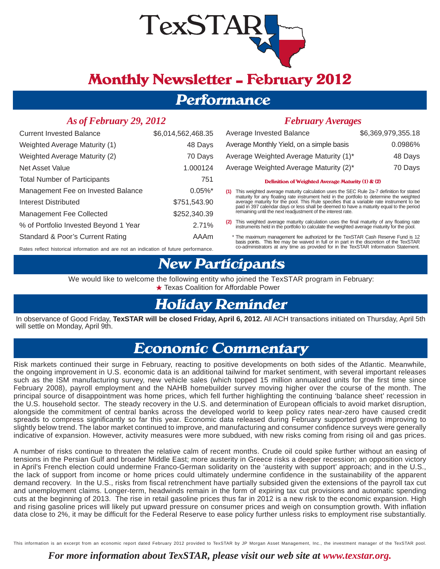

# **Monthly Newsletter — February 2012**

## **Performance**

### *As of February 29, 2012*

| <b>Current Invested Balance</b>                                                       | \$6,014,562,468.35    |  |  |  |
|---------------------------------------------------------------------------------------|-----------------------|--|--|--|
| Weighted Average Maturity (1)                                                         | 48 Days               |  |  |  |
| Weighted Average Maturity (2)                                                         | 70 Days               |  |  |  |
| Net Asset Value                                                                       | 1.000124              |  |  |  |
| <b>Total Number of Participants</b>                                                   | 751                   |  |  |  |
| Management Fee on Invested Balance                                                    | $0.05\%$ <sup>*</sup> |  |  |  |
| Interest Distributed                                                                  | \$751,543.90          |  |  |  |
| Management Fee Collected                                                              | \$252,340.39          |  |  |  |
| % of Portfolio Invested Beyond 1 Year                                                 | 2.71%                 |  |  |  |
| Standard & Poor's Current Rating                                                      | AAAm                  |  |  |  |
| Rates reflect historical information and are not an indication of future performance. |                       |  |  |  |

a sa kacamatan ing Kabupatèn Kabupatèn Kabupatèn Kabupatèn Kabupatèn Kabupatèn Kabupatèn Kabupatèn Kabupatèn K

### *February Averages*

| Average Invested Balance                 | \$6,369,979,355.18 |
|------------------------------------------|--------------------|
| Average Monthly Yield, on a simple basis | 0.0986%            |
| Average Weighted Average Maturity (1)*   | 48 Days            |
| Average Weighted Average Maturity (2)*   | 70 Days            |

#### **Definition of Weighted Average Maturity (1) & (2)**

(1) This weighted average maturity calculation uses the SEC Rule 2a-7 definition for stated maturity for any floating rate instrument held in the portfolio to determine the weighted average maturity for the pool. This Rule specifies that a variable rate instrument to be<br>paid in 397 calendar days or less shall be deemed to have a maturity equal to the period remaining until the next readjustment of the interest rate.

(2) This weighted average maturity calculation uses the final maturity of any floating rate instruments held in the portfolio to calculate the weighted average maturity for the pool.

 \* The maximum management fee authorized for the TexSTAR Cash Reserve Fund is 12 basis points. This fee may be waived in full or in part in the discretion of the TexSTAR co-administrators at any time as provided for in the TexSTAR Information Statement.

## **New Participants**

We would like to welcome the following entity who joined the TexSTAR program in February: ★ Texas Coalition for Affordable Power

## **Holiday Reminder**

In observance of Good Friday, **TexSTAR will be closed Friday, April 6, 2012.** All ACH transactions initiated on Thursday, April 5th will settle on Monday, April 9th.

## **Economic Commentary**

Risk markets continued their surge in February, reacting to positive developments on both sides of the Atlantic. Meanwhile, the ongoing improvement in U.S. economic data is an additional tailwind for market sentiment, with several important releases such as the ISM manufacturing survey, new vehicle sales (which topped 15 million annualized units for the first time since February 2008), payroll employment and the NAHB homebuilder survey moving higher over the course of the month. The principal source of disappointment was home prices, which fell further highlighting the continuing 'balance sheet' recession in the U.S. household sector. The steady recovery in the U.S. and determination of European officials to avoid market disruption, alongside the commitment of central banks across the developed world to keep policy rates near-zero have caused credit spreads to compress significantly so far this year. Economic data released during February supported growth improving to slightly below trend. The labor market continued to improve, and manufacturing and consumer confidence surveys were generally indicative of expansion. However, activity measures were more subdued, with new risks coming from rising oil and gas prices.

A number of risks continue to threaten the relative calm of recent months. Crude oil could spike further without an easing of tensions in the Persian Gulf and broader Middle East; more austerity in Greece risks a deeper recession; an opposition victory in April's French election could undermine Franco-German solidarity on the 'austerity with support' approach; and in the U.S., the lack of support from income or home prices could ultimately undermine confidence in the sustainability of the apparent demand recovery. In the U.S., risks from fiscal retrenchment have partially subsided given the extensions of the payroll tax cut and unemployment claims. Longer-term, headwinds remain in the form of expiring tax cut provisions and automatic spending cuts at the beginning of 2013. The rise in retail gasoline prices thus far in 2012 is a new risk to the economic expansion. High and rising gasoline prices will likely put upward pressure on consumer prices and weigh on consumption growth. With inflation data close to 2%, it may be difficult for the Federal Reserve to ease policy further unless risks to employment rise substantially.

This information is an excerpt from an economic report dated February 2012 provided to TexSTAR by JP Morgan Asset Management, Inc., the investment manager of the TexSTAR pool.

### *For more information about TexSTAR, please visit our web site at www.texstar.org.*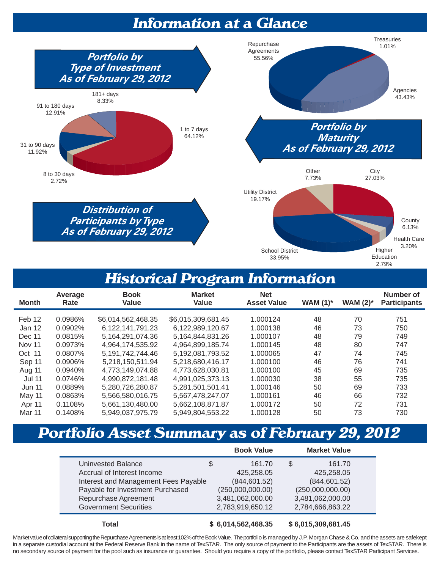## **Information at a Glance**



## **Historical Program Information**

| <b>Month</b>  | Average<br>Rate | <b>Book</b><br><b>Value</b> | <b>Market</b><br>Value | <b>Net</b><br><b>Asset Value</b> | WAM $(1)^*$ | <b>WAM (2)*</b> | Number of<br><b>Participants</b> |
|---------------|-----------------|-----------------------------|------------------------|----------------------------------|-------------|-----------------|----------------------------------|
| Feb 12        | 0.0986%         | \$6,014,562,468.35          | \$6,015,309,681.45     | 1.000124                         | 48          | 70              | 751                              |
| Jan 12        | 0.0902%         | 6.122.141.791.23            | 6,122,989,120.67       | 1.000138                         | 46          | 73              | 750                              |
| Dec 11        | 0.0815%         | 5.164.291.074.36            | 5.164.844.831.26       | 1.000107                         | 48          | 79              | 749                              |
| <b>Nov 11</b> | 0.0973%         | 4,964,174,535.92            | 4,964,899,185.74       | 1.000145                         | 48          | 80              | 747                              |
| Oct 11        | 0.0807%         | 5, 191, 742, 744. 46        | 5,192,081,793.52       | 1.000065                         | 47          | 74              | 745                              |
| Sep 11        | 0.0906%         | 5,218,150,511.94            | 5.218.680.416.17       | 1.000100                         | 46          | 76              | 741                              |
| Aug 11        | 0.0940%         | 4,773,149,074.88            | 4,773,628,030.81       | 1.000100                         | 45          | 69              | 735                              |
| <b>Jul 11</b> | 0.0746%         | 4,990,872,181.48            | 4,991,025,373.13       | 1.000030                         | 38          | 55              | 735                              |
| <b>Jun 11</b> | 0.0889%         | 5,280,726,280.87            | 5,281,501,501.41       | 1.000146                         | 50          | 69              | 733                              |
| May 11        | 0.0863%         | 5,566,580,016.75            | 5,567,478,247.07       | 1.000161                         | 46          | 66              | 732                              |
| Apr 11        | 0.1108%         | 5,661,130,480.00            | 5,662,108,871.87       | 1.000172                         | 50          | 72              | 731                              |
| Mar 11        | 0.1408%         | 5,949,037,975.79            | 5,949,804,553.22       | 1.000128                         | 50          | 73              | 730                              |

# **Portfolio Asset Summary as of February 29, 2012**

|                                      | <b>Book Value</b> | <b>Market Value</b> |  |
|--------------------------------------|-------------------|---------------------|--|
| Uninvested Balance                   | \$<br>161.70      | S<br>161.70         |  |
| Accrual of Interest Income           | 425,258.05        | 425,258.05          |  |
| Interest and Management Fees Payable | (844, 601.52)     | (844, 601.52)       |  |
| Payable for Investment Purchased     | (250,000,000.00)  | (250,000,000.00)    |  |
| Repurchase Agreement                 | 3,481,062,000.00  | 3,481,062,000.00    |  |
| <b>Government Securities</b>         | 2,783,919,650.12  | 2,784,666,863.22    |  |
|                                      |                   |                     |  |

 **Total \$ 6,014,562,468.35 \$ 6,015,309,681.45**

Market value of collateral supporting the Repurchase Agreements is at least 102% of the Book Value. The portfolio is managed by J.P. Morgan Chase & Co. and the assets are safekept in a separate custodial account at the Federal Reserve Bank in the name of TexSTAR. The only source of payment to the Participants are the assets of TexSTAR. There is no secondary source of payment for the pool such as insurance or guarantee. Should you require a copy of the portfolio, please contact TexSTAR Participant Services.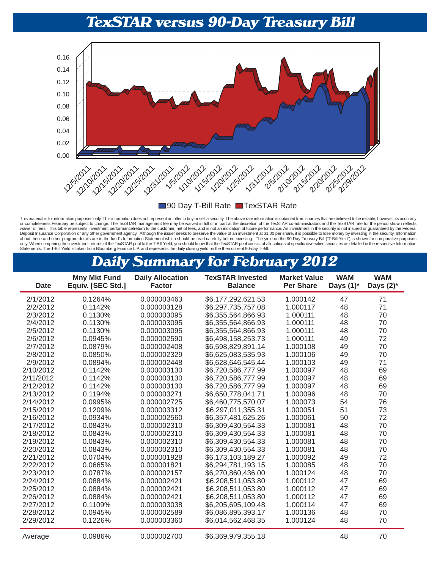## **TexSTAR versus 90-Day Treasury Bill**



■90 Day T-Bill Rate ■ TexSTAR Rate

This material is for information purposes only. This information does not represent an offer to buy or sell a security. The above rate information is obtained from sources that are believed to be reliable; however, its acc or completeness February be subject to change. The TexSTAR management fee may be waived in full or in part at the discretion of the TexSTAR co-administrators and the TexSTAR rate for the period shown reflects waiver of fees. This table represents investment performance/return to the customer, net of fees, and is not an indication of future performance. An investment in the security is not insured or guaranteed by the Federal<br>De about these and other program details are in the fund's Information Statement which should be read carefully before investing. The yield on the 90-Day Treasury Bill ("T-Bill Yield") is shown for comparative purposes only. When comparing the investment returns of the TexSTAR pool to the T-Bill Yield, you should know that the TexSTAR pool consist of allocations of specific diversified securities as detailed in the respective Information

## **Daily Summary for February 2012**

| Date      | <b>Mny Mkt Fund</b><br>Equiv. [SEC Std.] | <b>Daily Allocation</b><br><b>Factor</b> | <b>TexSTAR Invested</b><br><b>Balance</b> | <b>Market Value</b><br><b>Per Share</b> | <b>WAM</b><br>Days $(1)^*$ | <b>WAM</b><br>Days $(2)^*$ |
|-----------|------------------------------------------|------------------------------------------|-------------------------------------------|-----------------------------------------|----------------------------|----------------------------|
| 2/1/2012  | 0.1264%                                  | 0.000003463                              | \$6,177,292,621.53                        | 1.000142                                | 47                         | 71                         |
| 2/2/2012  | 0.1142%                                  | 0.000003128                              | \$6,297,735,757.08                        | 1.000117                                | 48                         | 71                         |
| 2/3/2012  | 0.1130%                                  | 0.000003095                              | \$6,355,564,866.93                        | 1.000111                                | 48                         | 70                         |
| 2/4/2012  | 0.1130%                                  | 0.000003095                              | \$6,355,564,866.93                        | 1.000111                                | 48                         | 70                         |
| 2/5/2012  | 0.1130%                                  | 0.000003095                              | \$6,355,564,866.93                        | 1.000111                                | 48                         | 70                         |
| 2/6/2012  | 0.0945%                                  | 0.000002590                              | \$6,498,158,253.73                        | 1.000111                                | 49                         | 72                         |
| 2/7/2012  | 0.0879%                                  | 0.000002408                              | \$6,598,829,891.14                        | 1.000108                                | 49                         | 70                         |
| 2/8/2012  | 0.0850%                                  | 0.000002329                              | \$6,625,083,535.93                        | 1.000106                                | 49                         | 70                         |
| 2/9/2012  | 0.0894%                                  | 0.000002448                              | \$6,628,646,545.44                        | 1.000103                                | 49                         | 71                         |
| 2/10/2012 | 0.1142%                                  | 0.000003130                              | \$6,720,586,777.99                        | 1.000097                                | 48                         | 69                         |
| 2/11/2012 | 0.1142%                                  | 0.000003130                              | \$6,720,586,777.99                        | 1.000097                                | 48                         | 69                         |
| 2/12/2012 | 0.1142%                                  | 0.000003130                              | \$6,720,586,777.99                        | 1.000097                                | 48                         | 69                         |
| 2/13/2012 | 0.1194%                                  | 0.000003271                              | \$6,650,778,041.71                        | 1.000096                                | 48                         | 70                         |
| 2/14/2012 | 0.0995%                                  | 0.000002725                              | \$6,460,775,570.07                        | 1.000073                                | 54                         | 76                         |
| 2/15/2012 | 0.1209%                                  | 0.000003312                              | \$6,297,011,355.31                        | 1.000051                                | 51                         | 73                         |
| 2/16/2012 | 0.0934%                                  | 0.000002560                              | \$6,357,481,625.26                        | 1.000061                                | 50                         | 72                         |
| 2/17/2012 | 0.0843%                                  | 0.000002310                              | \$6,309,430,554.33                        | 1.000081                                | 48                         | 70                         |
| 2/18/2012 | 0.0843%                                  | 0.000002310                              | \$6,309,430,554.33                        | 1.000081                                | 48                         | 70                         |
| 2/19/2012 | 0.0843%                                  | 0.000002310                              | \$6,309,430,554.33                        | 1.000081                                | 48                         | 70                         |
| 2/20/2012 | 0.0843%                                  | 0.000002310                              | \$6,309,430,554.33                        | 1.000081                                | 48                         | 70                         |
| 2/21/2012 | 0.0704%                                  | 0.000001928                              | \$6,173,103,189.27                        | 1.000092                                | 49                         | 72                         |
| 2/22/2012 | 0.0665%                                  | 0.000001821                              | \$6,294,781,193.15                        | 1.000085                                | 48                         | 70                         |
| 2/23/2012 | 0.0787%                                  | 0.000002157                              | \$6,270,860,436.00                        | 1.000124                                | 48                         | 70                         |
| 2/24/2012 | 0.0884%                                  | 0.000002421                              | \$6,208,511,053.80                        | 1.000112                                | 47                         | 69                         |
| 2/25/2012 | 0.0884%                                  | 0.000002421                              | \$6,208,511,053.80                        | 1.000112                                | 47                         | 69                         |
| 2/26/2012 | 0.0884%                                  | 0.000002421                              | \$6,208,511,053.80                        | 1.000112                                | 47                         | 69                         |
| 2/27/2012 | 0.1109%                                  | 0.000003038                              | \$6,205,695,109.48                        | 1.000114                                | 47                         | 69                         |
| 2/28/2012 | 0.0945%                                  | 0.000002589                              | \$6,086,895,393.17                        | 1.000136                                | 48                         | 70                         |
| 2/29/2012 | 0.1226%                                  | 0.000003360                              | \$6,014,562,468.35                        | 1.000124                                | 48                         | 70                         |
| Average   | 0.0986%                                  | 0.000002700                              | \$6,369,979,355.18                        |                                         | 48                         | 70                         |